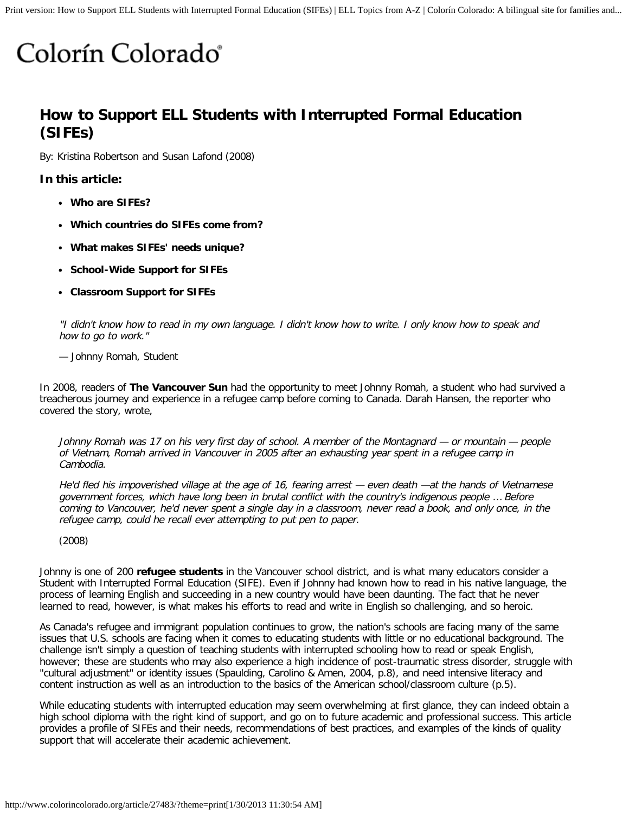# Colorín Colorado<sup>®</sup>

## **How to Support ELL Students with Interrupted Formal Education (SIFEs)**

By: Kristina Robertson and Susan Lafond (2008)

#### **In this article:**

- **[Who are SIFEs?](http://www.colorincolorado.org/article/27483#Who)**
- **[Which countries do SIFEs come from?](http://www.colorincolorado.org/article/27483#Where)**
- **[What makes SIFEs' needs unique?](http://www.colorincolorado.org/article/27483#needs)**
- **[School-Wide Support for SIFEs](http://www.colorincolorado.org/article/27483#School-wide)**
- **[Classroom Support for SIFEs](http://www.colorincolorado.org/article/27483#Classroom)**

"I didn't know how to read in my own language. I didn't know how to write. I only know how to speak and how to go to work."

#### — Johnny Romah, Student

In 2008, readers of **[The Vancouver Sun](http://www.canada.com/vancouversun/news/westcoastnews/story.html?id=d47ec321-4c84-4609-b048-82a25543a4f1)** had the opportunity to meet Johnny Romah, a student who had survived a treacherous journey and experience in a refugee camp before coming to Canada. Darah Hansen, the reporter who covered the story, wrote,

Johnny Romah was 17 on his very first day of school. A member of the Montagnard — or mountain — people of Vietnam, Romah arrived in Vancouver in 2005 after an exhausting year spent in a refugee camp in Cambodia.

He'd fled his impoverished village at the age of 16, fearing arrest — even death —at the hands of Vietnamese government forces, which have long been in brutal conflict with the country's indigenous people … Before coming to Vancouver, he'd never spent a single day in a classroom, never read a book, and only once, in the refugee camp, could he recall ever attempting to put pen to paper.

(2008)

Johnny is one of 200 **[refugee students](http://www.colorincolorado.org/article/23379)** in the Vancouver school district, and is what many educators consider a Student with Interrupted Formal Education (SIFE). Even if Johnny had known how to read in his native language, the process of learning English and succeeding in a new country would have been daunting. The fact that he never learned to read, however, is what makes his efforts to read and write in English so challenging, and so heroic.

As Canada's refugee and immigrant population continues to grow, the nation's schools are facing many of the same issues that U.S. schools are facing when it comes to educating students with little or no educational background. The challenge isn't simply a question of teaching students with interrupted schooling how to read or speak English, however; these are students who may also experience a high incidence of post-traumatic stress disorder, struggle with "cultural adjustment" or identity issues (Spaulding, Carolino & Amen, 2004, p.8), and need intensive literacy and content instruction as well as an introduction to the basics of the American school/classroom culture (p.5).

While educating students with interrupted education may seem overwhelming at first glance, they can indeed obtain a high school diploma with the right kind of support, and go on to future academic and professional success. This article provides a profile of SIFEs and their needs, recommendations of best practices, and examples of the kinds of quality support that will accelerate their academic achievement.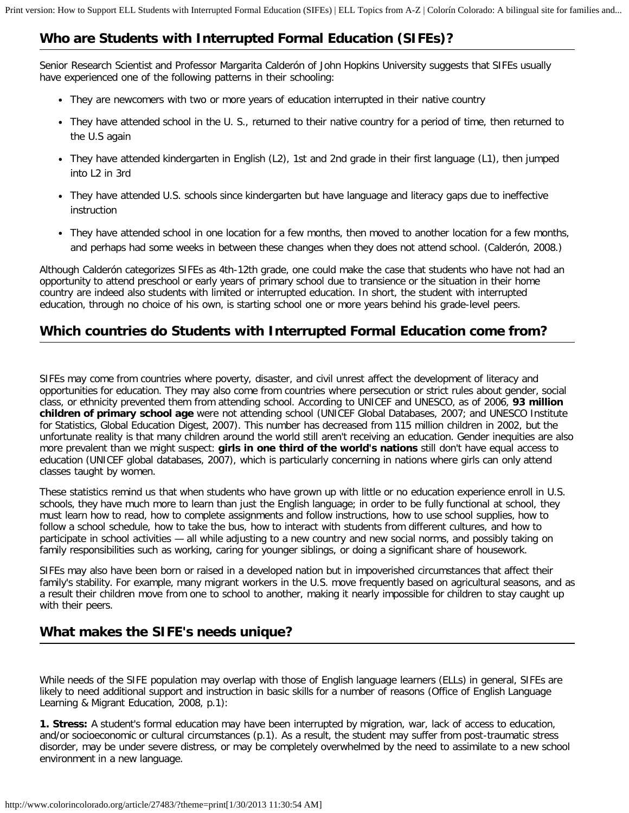## **Who are Students with Interrupted Formal Education (SIFEs)?**

Senior Research Scientist and Professor Margarita Calderón of John Hopkins University suggests that SIFEs usually have experienced one of the following patterns in their schooling:

- They are newcomers with two or more years of education interrupted in their native country
- They have attended school in the U. S., returned to their native country for a period of time, then returned to the U.S again
- They have attended kindergarten in English (L2), 1st and 2nd grade in their first language (L1), then jumped into L2 in 3rd
- They have attended U.S. schools since kindergarten but have language and literacy gaps due to ineffective instruction
- They have attended school in one location for a few months, then moved to another location for a few months, and perhaps had some weeks in between these changes when they does not attend school. (Calderón, 2008.)

Although Calderón categorizes SIFEs as 4th-12th grade, one could make the case that students who have not had an opportunity to attend preschool or early years of primary school due to transience or the situation in their home country are indeed also students with limited or interrupted education. In short, the student with interrupted education, through no choice of his own, is starting school one or more years behind his grade-level peers.

### **Which countries do Students with Interrupted Formal Education come from?**

SIFEs may come from countries where poverty, disaster, and civil unrest affect the development of literacy and opportunities for education. They may also come from countries where persecution or strict rules about gender, social class, or ethnicity prevented them from attending school. According to UNICEF and UNESCO, as of 2006, **[93 million](http://www.childinfo.org/education.html) [children of primary school age](http://www.childinfo.org/education.html)** were not attending school (UNICEF Global Databases, 2007; and UNESCO Institute for Statistics, Global Education Digest, 2007). This number has decreased from 115 million children in 2002, but the unfortunate reality is that many children around the world still aren't receiving an education. Gender inequities are also more prevalent than we might suspect: **[girls in one third of the world's nations](http://www.childinfo.org/education_gender.html)** still don't have equal access to education (UNICEF global databases, 2007), which is particularly concerning in nations where girls can only attend classes taught by women.

These statistics remind us that when students who have grown up with little or no education experience enroll in U.S. schools, they have much more to learn than just the English language; in order to be fully functional at school, they must learn how to read, how to complete assignments and follow instructions, how to use school supplies, how to follow a school schedule, how to take the bus, how to interact with students from different cultures, and how to participate in school activities — all while adjusting to a new country and new social norms, and possibly taking on family responsibilities such as working, caring for younger siblings, or doing a significant share of housework.

SIFEs may also have been born or raised in a developed nation but in impoverished circumstances that affect their family's stability. For example, many migrant workers in the U.S. move frequently based on agricultural seasons, and as a result their children move from one to school to another, making it nearly impossible for children to stay caught up with their peers.

### **What makes the SIFE's needs unique?**

While needs of the SIFE population may overlap with those of English language learners (ELLs) in general, SIFEs are likely to need additional support and instruction in basic skills for a number of reasons (Office of English Language Learning & Migrant Education, 2008, p.1):

**1. Stress:** A student's formal education may have been interrupted by migration, war, lack of access to education, and/or socioeconomic or cultural circumstances (p.1). As a result, the student may suffer from post-traumatic stress disorder, may be under severe distress, or may be completely overwhelmed by the need to assimilate to a new school environment in a new language.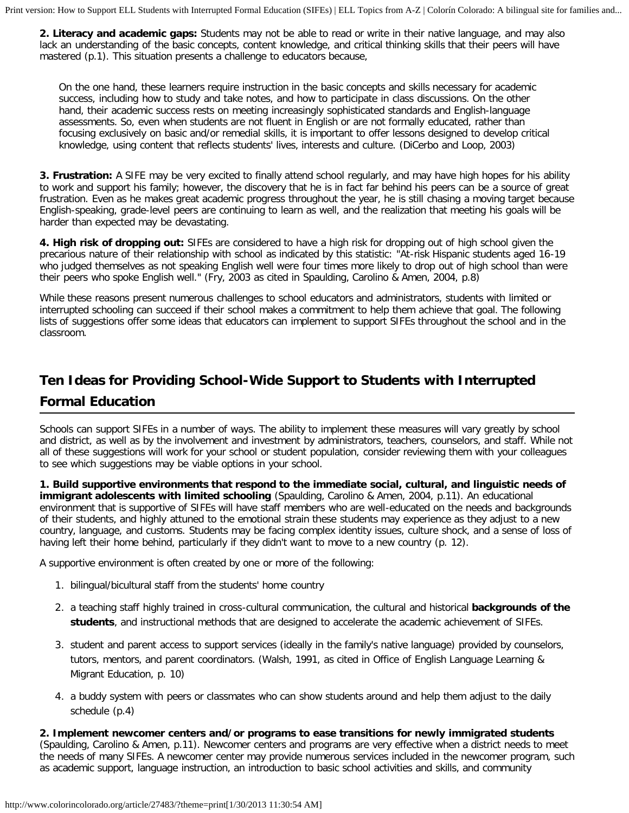**2. Literacy and academic gaps:** Students may not be able to read or write in their native language, and may also lack an understanding of the basic concepts, content knowledge, and critical thinking skills that their peers will have mastered (p.1). This situation presents a challenge to educators because,

On the one hand, these learners require instruction in the basic concepts and skills necessary for academic success, including how to study and take notes, and how to participate in class discussions. On the other hand, their academic success rests on meeting increasingly sophisticated standards and English-language assessments. So, even when students are not fluent in English or are not formally educated, rather than focusing exclusively on basic and/or remedial skills, it is important to offer lessons designed to develop critical knowledge, using content that reflects students' lives, interests and culture. (DiCerbo and Loop, 2003)

**3. Frustration:** A SIFE may be very excited to finally attend school regularly, and may have high hopes for his ability to work and support his family; however, the discovery that he is in fact far behind his peers can be a source of great frustration. Even as he makes great academic progress throughout the year, he is still chasing a moving target because English-speaking, grade-level peers are continuing to learn as well, and the realization that meeting his goals will be harder than expected may be devastating.

**4. High risk of dropping out:** SIFEs are considered to have a high risk for dropping out of high school given the precarious nature of their relationship with school as indicated by this statistic: "At-risk Hispanic students aged 16-19 who judged themselves as not speaking English well were four times more likely to drop out of high school than were their peers who spoke English well." (Fry, 2003 as cited in Spaulding, Carolino & Amen, 2004, p.8)

While these reasons present numerous challenges to school educators and administrators, students with limited or interrupted schooling can succeed if their school makes a commitment to help them achieve that goal. The following lists of suggestions offer some ideas that educators can implement to support SIFEs throughout the school and in the classroom.

# **Ten Ideas for Providing School-Wide Support to Students with Interrupted Formal Education**

Schools can support SIFEs in a number of ways. The ability to implement these measures will vary greatly by school and district, as well as by the involvement and investment by administrators, teachers, counselors, and staff. While not all of these suggestions will work for your school or student population, consider reviewing them with your colleagues to see which suggestions may be viable options in your school.

**1. Build supportive environments that respond to the immediate social, cultural, and linguistic needs of immigrant adolescents with limited schooling** (Spaulding, Carolino & Amen, 2004, p.11). An educational environment that is supportive of SIFEs will have staff members who are well-educated on the needs and backgrounds of their students, and highly attuned to the emotional strain these students may experience as they adjust to a new country, language, and customs. Students may be facing complex identity issues, culture shock, and a sense of loss of having left their home behind, particularly if they didn't want to move to a new country (p. 12).

A supportive environment is often created by one or more of the following:

- 1. bilingual/bicultural staff from the students' home country
- 2. a teaching staff highly trained in cross-cultural communication, the cultural and historical **[backgrounds of the](http://www.colorincolorado.org/educators/reachingout) [students](http://www.colorincolorado.org/educators/reachingout)**, and instructional methods that are designed to accelerate the academic achievement of SIFEs.
- 3. student and parent access to support services (ideally in the family's native language) provided by counselors, tutors, mentors, and parent coordinators. (Walsh, 1991, as cited in Office of English Language Learning & Migrant Education, p. 10)
- 4. a buddy system with peers or classmates who can show students around and help them adjust to the daily schedule (p.4)

**2. Implement newcomer centers and/or programs to ease transitions for newly immigrated students** (Spaulding, Carolino & Amen, p.11). Newcomer centers and programs are very effective when a district needs to meet the needs of many SIFEs. A newcomer center may provide numerous services included in the newcomer program, such as academic support, language instruction, an introduction to basic school activities and skills, and community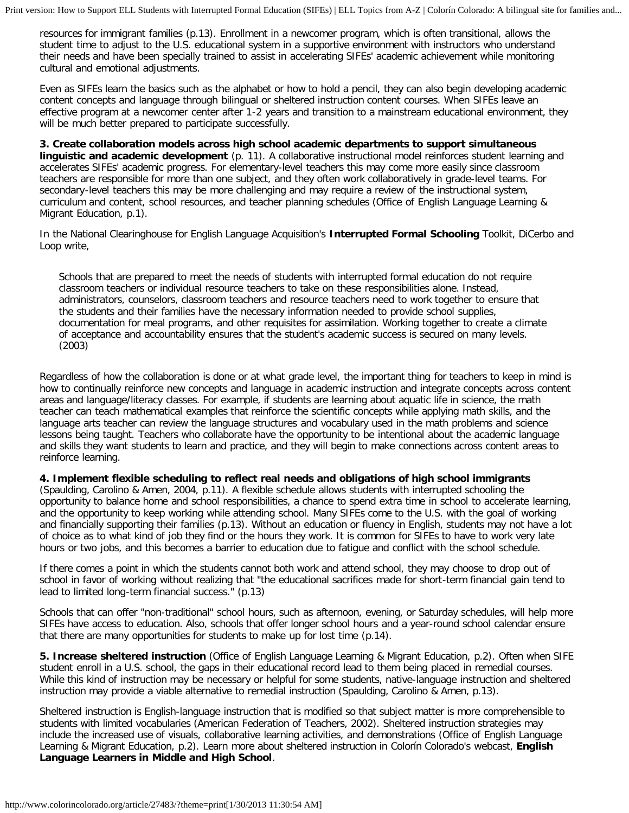resources for immigrant families (p.13). Enrollment in a newcomer program, which is often transitional, allows the student time to adjust to the U.S. educational system in a supportive environment with instructors who understand their needs and have been specially trained to assist in accelerating SIFEs' academic achievement while monitoring cultural and emotional adjustments.

Even as SIFEs learn the basics such as the alphabet or how to hold a pencil, they can also begin developing academic content concepts and language through bilingual or sheltered instruction content courses. When SIFEs leave an effective program at a newcomer center after 1-2 years and transition to a mainstream educational environment, they will be much better prepared to participate successfully.

**3. Create collaboration models across high school academic departments to support simultaneous linguistic and academic development** (p. 11). A collaborative instructional model reinforces student learning and accelerates SIFEs' academic progress. For elementary-level teachers this may come more easily since classroom teachers are responsible for more than one subject, and they often work collaboratively in grade-level teams. For secondary-level teachers this may be more challenging and may require a review of the instructional system, curriculum and content, school resources, and teacher planning schedules (Office of English Language Learning & Migrant Education, p.1).

In the National Clearinghouse for English Language Acquisition's **[Interrupted Formal Schooling](http://www.ncela.gwu.edu/practice/itc/ifsinfo.html)** Toolkit, DiCerbo and Loop write,

Schools that are prepared to meet the needs of students with interrupted formal education do not require classroom teachers or individual resource teachers to take on these responsibilities alone. Instead, administrators, counselors, classroom teachers and resource teachers need to work together to ensure that the students and their families have the necessary information needed to provide school supplies, documentation for meal programs, and other requisites for assimilation. Working together to create a climate of acceptance and accountability ensures that the student's academic success is secured on many levels. (2003)

Regardless of how the collaboration is done or at what grade level, the important thing for teachers to keep in mind is how to continually reinforce new concepts and language in academic instruction and integrate concepts across content areas and language/literacy classes. For example, if students are learning about aquatic life in science, the math teacher can teach mathematical examples that reinforce the scientific concepts while applying math skills, and the language arts teacher can review the language structures and vocabulary used in the math problems and science lessons being taught. Teachers who collaborate have the opportunity to be intentional about the academic language and skills they want students to learn and practice, and they will begin to make connections across content areas to reinforce learning.

#### **4. Implement flexible scheduling to reflect real needs and obligations of high school immigrants**

(Spaulding, Carolino & Amen, 2004, p.11). A flexible schedule allows students with interrupted schooling the opportunity to balance home and school responsibilities, a chance to spend extra time in school to accelerate learning, and the opportunity to keep working while attending school. Many SIFEs come to the U.S. with the goal of working and financially supporting their families (p.13). Without an education or fluency in English, students may not have a lot of choice as to what kind of job they find or the hours they work. It is common for SIFEs to have to work very late hours or two jobs, and this becomes a barrier to education due to fatigue and conflict with the school schedule.

If there comes a point in which the students cannot both work and attend school, they may choose to drop out of school in favor of working without realizing that "the educational sacrifices made for short-term financial gain tend to lead to limited long-term financial success." (p.13)

Schools that can offer "non-traditional" school hours, such as afternoon, evening, or Saturday schedules, will help more SIFEs have access to education. Also, schools that offer longer school hours and a year-round school calendar ensure that there are many opportunities for students to make up for lost time (p.14).

**5. Increase sheltered instruction** (Office of English Language Learning & Migrant Education, p.2). Often when SIFE student enroll in a U.S. school, the gaps in their educational record lead to them being placed in remedial courses. While this kind of instruction may be necessary or helpful for some students, native-language instruction and sheltered instruction may provide a viable alternative to remedial instruction (Spaulding, Carolino & Amen, p.13).

Sheltered instruction is English-language instruction that is modified so that subject matter is more comprehensible to students with limited vocabularies (American Federation of Teachers, 2002). Sheltered instruction strategies may include the increased use of visuals, collaborative learning activities, and demonstrations (Office of English Language Learning & Migrant Education, p.2). Learn more about sheltered instruction in Colorín Colorado's webcast, **[English](http://www.colorincolorado.org/webcasts/middle) [Language Learners in Middle and High School](http://www.colorincolorado.org/webcasts/middle)**.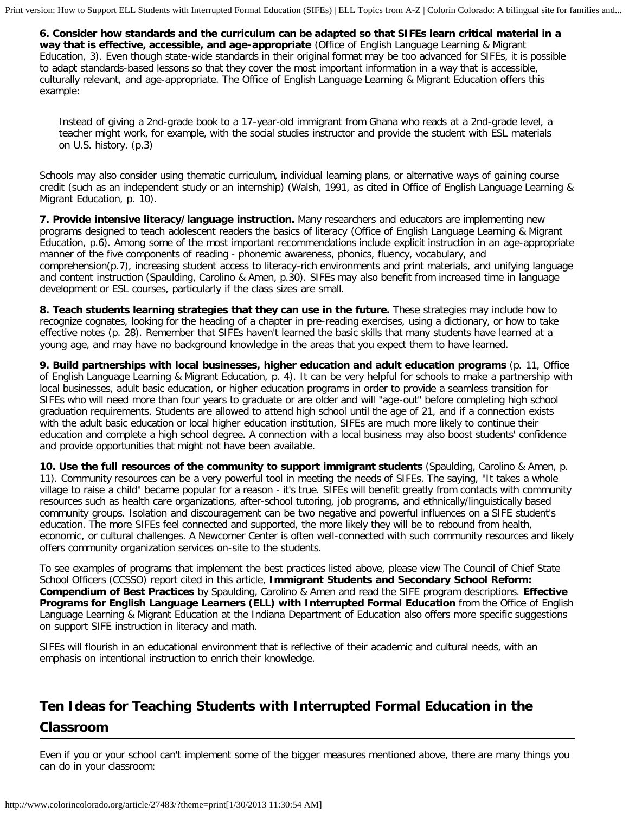**6. Consider how standards and the curriculum can be adapted so that SIFEs learn critical material in a way that is effective, accessible, and age-appropriate** (Office of English Language Learning & Migrant Education, 3). Even though state-wide standards in their original format may be too advanced for SIFEs, it is possible to adapt standards-based lessons so that they cover the most important information in a way that is accessible, culturally relevant, and age-appropriate. The Office of English Language Learning & Migrant Education offers this example:

Instead of giving a 2nd-grade book to a 17-year-old immigrant from Ghana who reads at a 2nd-grade level, a teacher might work, for example, with the social studies instructor and provide the student with ESL materials on U.S. history. (p.3)

Schools may also consider using thematic curriculum, individual learning plans, or alternative ways of gaining course credit (such as an independent study or an internship) (Walsh, 1991, as cited in Office of English Language Learning & Migrant Education, p. 10).

**7. Provide intensive literacy/language instruction.** Many researchers and educators are implementing new programs designed to teach adolescent readers the basics of literacy (Office of English Language Learning & Migrant Education, p.6). Among some of the most important recommendations include explicit instruction in an age-appropriate manner of the five components of reading - phonemic awareness, phonics, fluency, vocabulary, and comprehension(p.7), increasing student access to literacy-rich environments and print materials, and unifying language and content instruction (Spaulding, Carolino & Amen, p.30). SIFEs may also benefit from increased time in language development or ESL courses, particularly if the class sizes are small.

**8. Teach students learning strategies that they can use in the future.** These strategies may include how to recognize cognates, looking for the heading of a chapter in pre-reading exercises, using a dictionary, or how to take effective notes (p. 28). Remember that SIFEs haven't learned the basic skills that many students have learned at a young age, and may have no background knowledge in the areas that you expect them to have learned.

**9. Build partnerships with local businesses, higher education and adult education programs** (p. 11, Office of English Language Learning & Migrant Education, p. 4). It can be very helpful for schools to make a partnership with local businesses, adult basic education, or higher education programs in order to provide a seamless transition for SIFEs who will need more than four years to graduate or are older and will "age-out" before completing high school graduation requirements. Students are allowed to attend high school until the age of 21, and if a connection exists with the adult basic education or local higher education institution, SIFEs are much more likely to continue their education and complete a high school degree. A connection with a local business may also boost students' confidence and provide opportunities that might not have been available.

**10. Use the full resources of the community to support immigrant students** (Spaulding, Carolino & Amen, p. 11). Community resources can be a very powerful tool in meeting the needs of SIFEs. The saying, "It takes a whole village to raise a child" became popular for a reason - it's true. SIFEs will benefit greatly from contacts with community resources such as health care organizations, after-school tutoring, job programs, and ethnically/linguistically based community groups. Isolation and discouragement can be two negative and powerful influences on a SIFE student's education. The more SIFEs feel connected and supported, the more likely they will be to rebound from health, economic, or cultural challenges. A Newcomer Center is often well-connected with such community resources and likely offers community organization services on-site to the students.

To see examples of programs that implement the best practices listed above, please view The Council of Chief State School Officers (CCSSO) report cited in this article, **[Immigrant Students and Secondary School Reform:](http://www.ccsso.org/content/pdfs/BestPractices.pdf) [Compendium of Best Practices](http://www.ccsso.org/content/pdfs/BestPractices.pdf)** by Spaulding, Carolino & Amen and read the SIFE program descriptions. **[Effective](http://www.doe.in.gov/lmmp/pdf/effective_programs_ell.pdf) [Programs for English Language Learners \(ELL\) with Interrupted Formal Education](http://www.doe.in.gov/lmmp/pdf/effective_programs_ell.pdf)** from the Office of English Language Learning & Migrant Education at the Indiana Department of Education also offers more specific suggestions on support SIFE instruction in literacy and math.

SIFEs will flourish in an educational environment that is reflective of their academic and cultural needs, with an emphasis on intentional instruction to enrich their knowledge.

## **Ten Ideas for Teaching Students with Interrupted Formal Education in the Classroom**

Even if you or your school can't implement some of the bigger measures mentioned above, there are many things you can do in your classroom: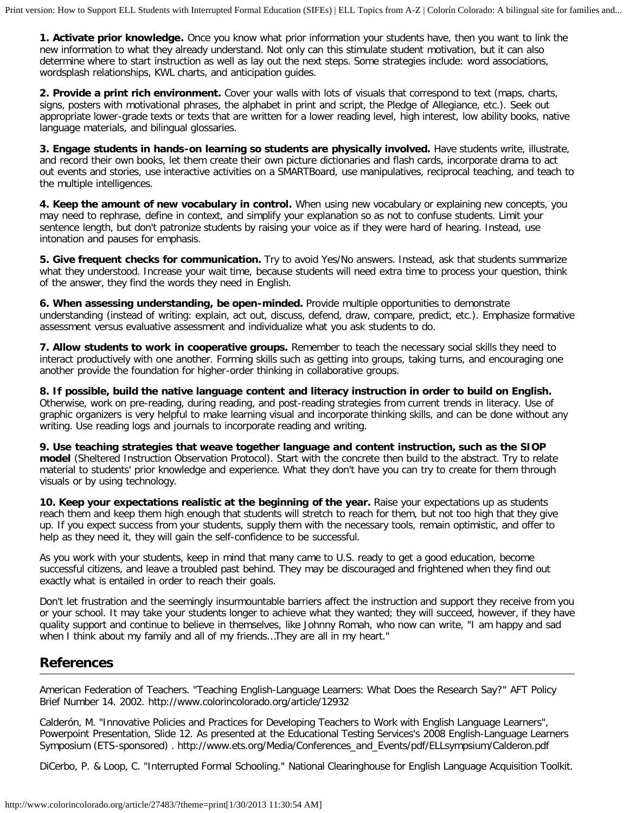**1. Activate [prior knowledge.](http://www.colorincolorado.org/article/20827)** Once you know what prior information your students have, then you want to link the new information to what they already understand. Not only can this stimulate student motivation, but it can also determine where to start instruction as well as lay out the next steps. Some strategies include: word associations, wordsplash relationships, KWL charts, and anticipation guides.

**2. Provide a print rich environment.** Cover your walls with lots of visuals that correspond to text (maps, charts, signs, posters with motivational phrases, the alphabet in print and script, the Pledge of Allegiance, etc.). Seek out appropriate lower-grade texts or texts that are written for a lower reading level, high interest, low ability books, native language materials, and bilingual glossaries.

**3. Engage students in hands-on learning so students are physically involved.** Have students write, illustrate, and record their own books, let them create their own picture dictionaries and flash cards, incorporate drama to act out events and stories, use interactive activities on a SMARTBoard, use manipulatives, reciprocal teaching, and teach to the multiple intelligences.

**4. Keep the amount of new vocabulary in control.** When using new vocabulary or explaining new concepts, you may need to rephrase, define in context, and simplify your explanation so as not to confuse students. Limit your sentence length, but don't patronize students by raising your voice as if they were hard of hearing. Instead, use intonation and pauses for emphasis.

**5. Give frequent checks for communication.** Try to avoid Yes/No answers. Instead, ask that students summarize what they understood. Increase your wait time, because students will need extra time to process your question, think of the answer, they find the words they need in English.

**6. When assessing understanding, be open-minded.** Provide multiple opportunities to demonstrate understanding (instead of writing: explain, act out, discuss, defend, draw, compare, predict, etc.). Emphasize formative assessment versus evaluative assessment and individualize what you ask students to do.

**7. Allow students to work in cooperative groups.** Remember to teach the necessary social skills they need to interact productively with one another. Forming skills such as getting into groups, taking turns, and encouraging one another provide the foundation for higher-order thinking in collaborative groups.

**8. If possible, build the native language content and literacy instruction in order to build on English.** Otherwise, work on pre-reading, during reading, and post-reading strategies from current trends in literacy. Use of graphic organizers is very helpful to make learning visual and incorporate thinking skills, and can be done without any writing. Use reading logs and journals to incorporate reading and writing.

**9. Use teaching strategies that weave together language and content instruction, such as the SIOP model** (Sheltered Instruction Observation Protocol). Start with the concrete then build to the abstract. Try to relate material to students' prior knowledge and experience. What they don't have you can try to create for them through visuals or by using technology.

**10. Keep your expectations realistic at the beginning of the year.** Raise your expectations up as students reach them and keep them high enough that students will stretch to reach for them, but not too high that they give up. If you expect success from your students, supply them with the necessary tools, remain optimistic, and offer to help as they need it, they will gain the self-confidence to be successful.

As you work with your students, keep in mind that many came to U.S. ready to get a good education, become successful citizens, and leave a troubled past behind. They may be discouraged and frightened when they find out exactly what is entailed in order to reach their goals.

Don't let frustration and the seemingly insurmountable barriers affect the instruction and support they receive from you or your school. It may take your students longer to achieve what they wanted; they will succeed, however, if they have quality support and continue to believe in themselves, like Johnny Romah, who now can write, "I am happy and sad when I think about my family and all of my friends…They are all in my heart."

### **References**

American Federation of Teachers. "Teaching English-Language Learners: What Does the Research Say?" AFT Policy Brief Number 14. 2002. http://www.colorincolorado.org/article/12932

Calderón, M. "Innovative Policies and Practices for Developing Teachers to Work with English Language Learners", Powerpoint Presentation, Slide 12. As presented at the Educational Testing Services's 2008 English-Language Learners Symposium (ETS-sponsored) . http://www.ets.org/Media/Conferences\_and\_Events/pdf/ELLsympsium/Calderon.pdf

DiCerbo, P. & Loop, C. "Interrupted Formal Schooling." National Clearinghouse for English Language Acquisition Toolkit.